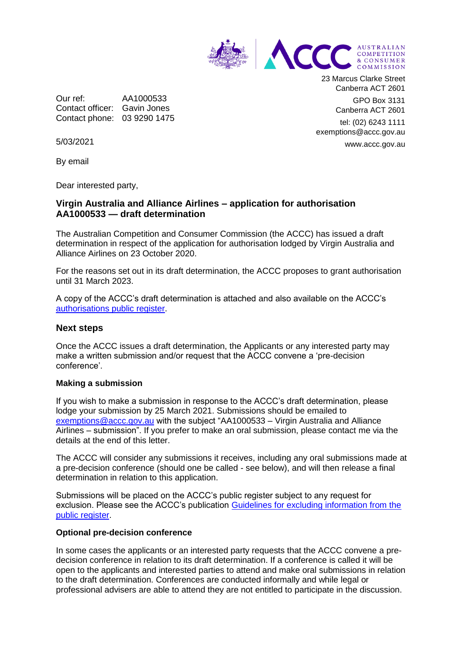

Our ref: AA1000533 Contact officer: Gavin Jones Contact phone: 03 9290 1475 23 Marcus Clarke Street Canberra ACT 2601 GPO Box 3131

Canberra ACT 2601

tel: (02) 6243 1111 exemptions@accc.gov.au www.accc.gov.au

5/03/2021

By email

Dear interested party,

# **Virgin Australia and Alliance Airlines – application for authorisation AA1000533 — draft determination**

The Australian Competition and Consumer Commission (the ACCC) has issued a draft determination in respect of the application for authorisation lodged by Virgin Australia and Alliance Airlines on 23 October 2020.

For the reasons set out in its draft determination, the ACCC proposes to grant authorisation until 31 March 2023.

A copy of the ACCC's draft determination is attached and also available on the ACCC's [authorisations public register.](https://www.accc.gov.au/public-registers/authorisations-and-notifications-registers/authorisations-register/virgin-australia-alliance-airlines)

### **Next steps**

Once the ACCC issues a draft determination, the Applicants or any interested party may make a written submission and/or request that the ACCC convene a 'pre-decision conference'.

#### **Making a submission**

If you wish to make a submission in response to the ACCC's draft determination, please lodge your submission by 25 March 2021. Submissions should be emailed to [exemptions@accc.gov.au](mailto:exemptions@accc.gov.au) with the subject "AA1000533 – Virgin Australia and Alliance Airlines – submission". If you prefer to make an oral submission, please contact me via the details at the end of this letter.

The ACCC will consider any submissions it receives, including any oral submissions made at a pre-decision conference (should one be called - see below), and will then release a final determination in relation to this application.

Submissions will be placed on the ACCC's public register subject to any request for exclusion. Please see the ACCC's publication [Guidelines for excluding information from the](https://www.accc.gov.au/publications/guidelines-for-excluding-information-from-the-public-register-for-authorisation-and-notification-processes)  [public register.](https://www.accc.gov.au/publications/guidelines-for-excluding-information-from-the-public-register-for-authorisation-and-notification-processes)

#### **Optional pre-decision conference**

In some cases the applicants or an interested party requests that the ACCC convene a predecision conference in relation to its draft determination. If a conference is called it will be open to the applicants and interested parties to attend and make oral submissions in relation to the draft determination. Conferences are conducted informally and while legal or professional advisers are able to attend they are not entitled to participate in the discussion.